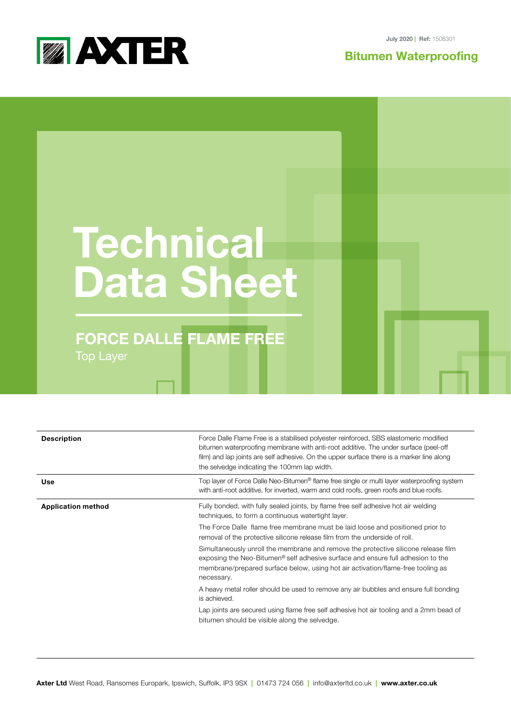

July 2020 **| Ref:** 1508301

## **Bitumen Waterproo**f**ing**

## **Technical Data Sheet**

## **FORCE DALLE FLAME FREE** Top Layer

| <b>Description</b>        | Force Dalle Flame Free is a stabilised polyester reinforced, SBS elastomeric modified<br>bitumen waterproofing membrane with anti-root additive. The under surface (peel-off<br>film) and lap joints are self adhesive. On the upper surface there is a marker line along<br>the selvedge indicating the 100mm lap width. |
|---------------------------|---------------------------------------------------------------------------------------------------------------------------------------------------------------------------------------------------------------------------------------------------------------------------------------------------------------------------|
| Use                       | Top layer of Force Dalle Neo-Bitumen® flame free single or multi layer waterproofing system<br>with anti-root additive, for inverted, warm and cold roofs, green roofs and blue roofs.                                                                                                                                    |
| <b>Application method</b> | Fully bonded, with fully sealed joints, by flame free self adhesive hot air welding<br>techniques, to form a continuous watertight layer.<br>The Force Dalle flame free membrane must be laid loose and positioned prior to<br>removal of the protective silicone release film from the underside of roll.                |
|                           | Simultaneously unroll the membrane and remove the protective silicone release film<br>exposing the Neo-Bitumen <sup>®</sup> self adhesive surface and ensure full adhesion to the<br>membrane/prepared surface below, using hot air activation/flame-free tooling as<br>necessary.                                        |
|                           | A heavy metal roller should be used to remove any air bubbles and ensure full bonding<br>is achieved.                                                                                                                                                                                                                     |
|                           | Lap joints are secured using flame free self adhesive hot air tooling and a 2mm bead of<br>bitumen should be visible along the selvedge.                                                                                                                                                                                  |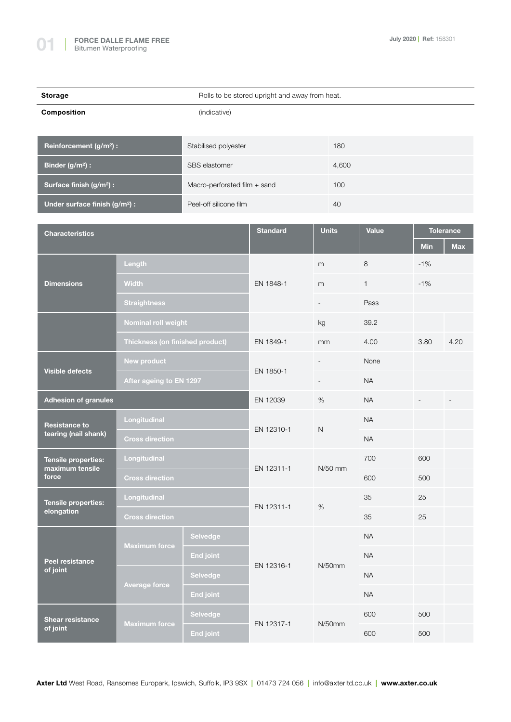**Peel resistance of joint**

**Average force**

**Shear resistance of joint Maximum force**

| <b>Storage</b>                                  | Rolls to be stored upright and away from heat.         |                              |                 |                          |              |              |            |                                |  |
|-------------------------------------------------|--------------------------------------------------------|------------------------------|-----------------|--------------------------|--------------|--------------|------------|--------------------------------|--|
| <b>Composition</b>                              |                                                        |                              |                 |                          |              |              |            |                                |  |
|                                                 |                                                        |                              |                 |                          |              |              |            |                                |  |
| Reinforcement (g/m <sup>2</sup> ) :             |                                                        | Stabilised polyester         |                 |                          | 180          |              |            |                                |  |
| Binder (g/m <sup>2</sup> ) :                    |                                                        | SBS elastomer                |                 |                          | 4,600        |              |            |                                |  |
| Surface finish (g/m <sup>2</sup> ) :            |                                                        | Macro-perforated film + sand |                 |                          | 100          |              |            |                                |  |
| Under surface finish (g/m <sup>2</sup> ) :      |                                                        | Peel-off silicone film       |                 |                          | 40           |              |            |                                |  |
|                                                 |                                                        |                              |                 |                          |              |              |            |                                |  |
| <b>Characteristics</b>                          |                                                        |                              | <b>Standard</b> |                          | <b>Units</b> | <b>Value</b> | <b>Min</b> | <b>Tolerance</b><br><b>Max</b> |  |
| <b>Dimensions</b>                               | Length<br><b>Width</b><br><b>Straightness</b>          |                              | EN 1848-1       | m                        |              | 8            | $-1%$      |                                |  |
|                                                 |                                                        |                              |                 | m                        |              | $\mathbf{1}$ | $-1%$      |                                |  |
|                                                 |                                                        |                              |                 | $\overline{\phantom{a}}$ |              | Pass         |            |                                |  |
|                                                 | Nominal roll weight<br>Thickness (on finished product) |                              |                 | kg                       |              | 39.2         |            |                                |  |
|                                                 |                                                        |                              | EN 1849-1       | mm                       |              | 4.00         | 3.80       | 4.20                           |  |
| <b>Visible defects</b>                          | <b>New product</b><br>After ageing to EN 1297          |                              | EN 1850-1       | $\overline{\phantom{a}}$ |              | None         |            |                                |  |
|                                                 |                                                        |                              |                 | $\overline{\phantom{a}}$ |              | <b>NA</b>    |            |                                |  |
| <b>Adhesion of granules</b>                     |                                                        | EN 12039                     | %               |                          | <b>NA</b>    |              |            |                                |  |
| <b>Resistance to</b><br>tearing (nail shank)    | Longitudinal                                           |                              | EN 12310-1      | $\mathsf{N}$             |              | <b>NA</b>    |            |                                |  |
|                                                 | <b>Cross direction</b>                                 |                              |                 |                          |              | <b>NA</b>    |            |                                |  |
| Tensile properties:<br>maximum tensile<br>force | Longitudinal                                           |                              |                 |                          |              | 700          | 600        |                                |  |
|                                                 | <b>Cross direction</b>                                 |                              | EN 12311-1      | N/50 mm                  |              | 600          | 500        |                                |  |
| Tensile properties:<br>elongation               | Longitudinal                                           |                              | EN 12311-1      |                          | 35           | 25           |            |                                |  |
|                                                 | <b>Cross direction</b>                                 |                              |                 | $\%$                     |              | 35           | 25         |                                |  |
|                                                 | <b>Maximum force</b>                                   | Selvedge                     |                 |                          | NA           |              |            |                                |  |
|                                                 |                                                        | End joint                    |                 |                          | $\sf NA$     |              |            |                                |  |

**Selvedge**

EN 12316-1 N/50mm

EN 12317-1 N/50mm

**End joint** 600 500

600 500

**Selvedge NA** 

**End joint** NA